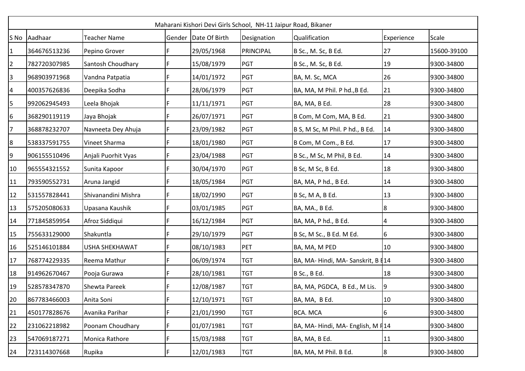| Maharani Kishori Devi Girls School, NH-11 Jaipur Road, Bikaner |              |                       |   |                      |             |                                                 |                 |             |  |
|----------------------------------------------------------------|--------------|-----------------------|---|----------------------|-------------|-------------------------------------------------|-----------------|-------------|--|
|                                                                | S No Aadhaar | <b>Teacher Name</b>   |   | Gender Date Of Birth | Designation | Qualification                                   | Experience      | Scale       |  |
| 1                                                              | 364676513236 | Pepino Grover         | F | 29/05/1968           | PRINCIPAL   | B Sc., M. Sc, B Ed.                             | 27              | 15600-39100 |  |
| $\overline{2}$                                                 | 782720307985 | Santosh Choudhary     |   | 15/08/1979           | <b>PGT</b>  | B Sc., M. Sc, B Ed.                             | 19              | 9300-34800  |  |
| 3                                                              | 968903971968 | Vandna Patpatia       | F | 14/01/1972           | <b>PGT</b>  | BA, M. Sc, MCA                                  | 26              | 9300-34800  |  |
| $\overline{4}$                                                 | 400357626836 | Deepika Sodha         | F | 28/06/1979           | <b>PGT</b>  | BA, MA, M Phil. P hd., B Ed.                    | 21              | 9300-34800  |  |
| 5                                                              | 992062945493 | Leela Bhojak          | F | 11/11/1971           | PGT         | BA, MA, B Ed.                                   | 28              | 9300-34800  |  |
| 6                                                              | 368290119119 | Jaya Bhojak           |   | 26/07/1971           | PGT         | B Com, M Com, MA, B Ed.                         | 21              | 9300-34800  |  |
| 7                                                              | 368878232707 | Navneeta Dey Ahuja    | F | 23/09/1982           | <b>PGT</b>  | B S, M Sc, M Phil. P hd., B Ed.                 | 14              | 9300-34800  |  |
| $8\phantom{.}$                                                 | 538337591755 | Vineet Sharma         | F | 18/01/1980           | <b>PGT</b>  | B Com, M Com., B Ed.                            | 17              | 9300-34800  |  |
| 9                                                              | 906155510496 | Anjali Puorhit Vyas   | F | 23/04/1988           | PGT         | B Sc., M Sc, M Phil, B Ed.                      | 14              | 9300-34800  |  |
| 10                                                             | 965554321552 | Sunita Kapoor         |   | 30/04/1970           | PGT         | B Sc, M Sc, B Ed.                               | 18              | 9300-34800  |  |
| 11                                                             | 793590552731 | Aruna Jangid          | F | 18/05/1984           | <b>PGT</b>  | BA, MA, P hd., B Ed.                            | 14              | 9300-34800  |  |
| 12                                                             | 531557828441 | Shivanandini Mishra   | F | 18/02/1990           | PGT         | B Sc, M A, B Ed.                                | 13              | 9300-34800  |  |
| 13                                                             | 575205080633 | Upasana Kaushik       | F | 03/01/1985           | PGT         | BA, MA., B Ed.                                  | $8\phantom{.0}$ | 9300-34800  |  |
| 14                                                             | 771845859954 | Afroz Siddiqui        |   | 16/12/1984           | PGT         | BA, MA, P hd., B Ed.                            | 4               | 9300-34800  |  |
| 15                                                             | 755633129000 | Shakuntla             | F | 29/10/1979           | PGT         | B Sc, M Sc., B Ed. M Ed.                        | 6               | 9300-34800  |  |
| 16                                                             | 525146101884 | <b>USHA SHEKHAWAT</b> | F | 08/10/1983           | PET         | BA, MA, M PED                                   | 10              | 9300-34800  |  |
| 17                                                             | 768774229335 | Reema Mathur          | F | 06/09/1974           | <b>TGT</b>  | BA, MA- Hindi, MA- Sanskrit, B <sup>[14</sup> ] |                 | 9300-34800  |  |
| 18                                                             | 914962670467 | Pooja Gurawa          |   | 28/10/1981           | <b>TGT</b>  | B Sc., B Ed.                                    | 18              | 9300-34800  |  |
| 19                                                             | 528578347870 | <b>Shewta Pareek</b>  | F | 12/08/1987           | <b>TGT</b>  | BA, MA, PGDCA, B Ed., M Lis.                    | 9               | 9300-34800  |  |
| 20                                                             | 867783466003 | Anita Soni            | F | 12/10/1971           | <b>TGT</b>  | BA, MA, B Ed.                                   | 10              | 9300-34800  |  |
| 21                                                             | 450177828676 | Avanika Parihar       | F | 21/01/1990           | <b>TGT</b>  | <b>BCA. MCA</b>                                 | 6               | 9300-34800  |  |
| 22                                                             | 231062218982 | Poonam Choudhary      | F | 01/07/1981           | <b>TGT</b>  | BA, MA-Hindi, MA-English, M F14                 |                 | 9300-34800  |  |
| 23                                                             | 547069187271 | Monica Rathore        |   | 15/03/1988           | <b>TGT</b>  | BA, MA, B Ed.                                   | 11              | 9300-34800  |  |
| 24                                                             | 723114307668 | Rupika                | F | 12/01/1983           | <b>TGT</b>  | BA, MA, M Phil. B Ed.                           | 8               | 9300-34800  |  |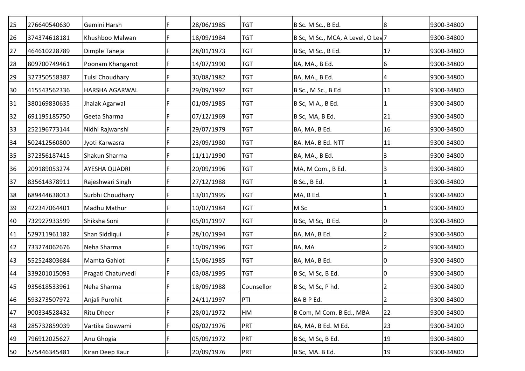| 276640540630 | Gemini Harsh           | F | 28/06/1985 | <b>TGT</b> | B Sc. M Sc., B Ed.       | 8              | 9300-34800                              |
|--------------|------------------------|---|------------|------------|--------------------------|----------------|-----------------------------------------|
| 374374618181 | Khushboo Malwan        | F | 18/09/1984 | <b>TGT</b> |                          |                | 9300-34800                              |
| 464610228789 | Dimple Taneja          | F | 28/01/1973 | <b>TGT</b> | B Sc, M Sc., B Ed.       | 17             | 9300-34800                              |
| 809700749461 | Poonam Khangarot       |   | 14/07/1990 | <b>TGT</b> | BA, MA., B Ed.           | 6              | 9300-34800                              |
| 327350558387 | <b>Tulsi Choudhary</b> | F | 30/08/1982 | <b>TGT</b> | BA, MA., B Ed.           | 4              | 9300-34800                              |
| 415543562336 | <b>HARSHA AGARWAL</b>  | F | 29/09/1992 | <b>TGT</b> | B Sc., M Sc., B Ed       | 11             | 9300-34800                              |
| 380169830635 | Jhalak Agarwal         | F | 01/09/1985 | <b>TGT</b> | B Sc, M A., B Ed.        |                | 9300-34800                              |
| 691195185750 | Geeta Sharma           |   | 07/12/1969 | <b>TGT</b> | B Sc, MA, B Ed.          | 21             | 9300-34800                              |
| 252196773144 | Nidhi Rajwanshi        | F | 29/07/1979 | <b>TGT</b> | BA, MA, B Ed.            | 16             | 9300-34800                              |
| 502412560800 | Jyoti Karwasra         | F | 23/09/1980 | <b>TGT</b> | BA. MA. B Ed. NTT        | 11             | 9300-34800                              |
| 372356187415 | Shakun Sharma          | F | 11/11/1990 | <b>TGT</b> | BA, MA., B Ed.           | 3              | 9300-34800                              |
| 209189053274 | <b>AYESHA QUADRI</b>   |   | 20/09/1996 | <b>TGT</b> | MA, M Com., B Ed.        | 3              | 9300-34800                              |
| 835614378911 | Rajeshwari Singh       | F | 27/12/1988 | <b>TGT</b> | B Sc., B Ed.             |                | 9300-34800                              |
| 689444638013 | Surbhi Choudhary       | F | 13/01/1995 | <b>TGT</b> | MA, B Ed.                |                | 9300-34800                              |
| 422347064401 | Madhu Mathur           | F | 10/07/1984 | <b>TGT</b> | M Sc                     |                | 9300-34800                              |
| 732927933599 | Shiksha Soni           |   | 05/01/1997 | <b>TGT</b> | B Sc, M Sc, B Ed.        | 0              | 9300-34800                              |
| 529711961182 | Shan Siddiqui          | F | 28/10/1994 | <b>TGT</b> | BA, MA, B Ed.            | 2              | 9300-34800                              |
| 733274062676 | Neha Sharma            | F | 10/09/1996 | <b>TGT</b> | BA, MA                   | 2              | 9300-34800                              |
| 552524803684 | Mamta Gahlot           | F | 15/06/1985 | <b>TGT</b> | BA, MA, B Ed.            | 0              | 9300-34800                              |
| 339201015093 | Pragati Chaturvedi     |   | 03/08/1995 | <b>TGT</b> | B Sc, M Sc, B Ed.        | 0              | 9300-34800                              |
| 935618533961 | Neha Sharma            | F | 18/09/1988 | Counsellor | B Sc, M Sc, P hd.        | 2              | 9300-34800                              |
| 593273507972 | Anjali Purohit         | F | 24/11/1997 | PTI        | BABPEd.                  | $\overline{2}$ | 9300-34800                              |
| 900334528432 | <b>Ritu Dheer</b>      | F | 28/01/1972 | HM         | B Com, M Com. B Ed., MBA | 22             | 9300-34800                              |
| 285732859039 | Vartika Goswami        | F | 06/02/1976 | PRT        | BA, MA, B Ed. M Ed.      | 23             | 9300-34200                              |
| 796912025627 | Anu Ghogia             | F | 05/09/1972 | <b>PRT</b> | B Sc, M Sc, B Ed.        | 19             | 9300-34800                              |
| 575446345481 | Kiran Deep Kaur        | F | 20/09/1976 | PRT        | B Sc, MA. B Ed.          |                | 9300-34800                              |
|              |                        |   |            |            |                          |                | B Sc, M Sc., MCA, A Level, O Lev7<br>19 |